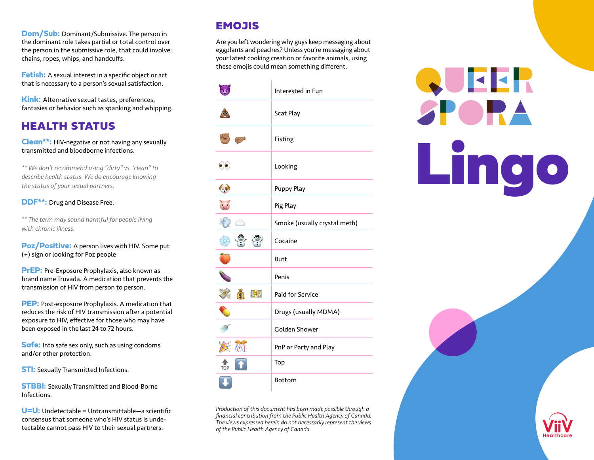**Dom/Sub:** Dominant/Submissive. The person in the dominant role takes partial or total control over the person in the submissive role, that could involve: chains, ropes, whips, and handcuffs.

**Fetish:** A sexual interest in a specific object or act that is necessary to a person's sexual satisfaction.

**Kink:** Alternative sexual tastes, preferences, fantasies or behavior such as spanking and whipping.

#### HEALTH STATUS

**Clean\*\*:** HIV-negative or not having any sexually transmitted and bloodborne infections.

*\*\* We don't recommend using "dirty" vs. 'clean" to describe health status. We do encourage knowing the status of your sexual partners.*

#### **DDF\*\*:** Drug and Disease Free.

*\*\* The term may sound harmful for people living with chronic illness.*

**Poz/Positive:** A person lives with HIV. Some put (+) sign or looking for Poz people

**PrEP:** Pre-Exposure Prophylaxis, also known as brand name Truvada. A medication that prevents the transmission of HIV from person to person.

**PEP:** Post-exposure Prophylaxis. A medication that reduces the risk of HIV transmission after a potential exposure to HIV, effective for those who may have been exposed in the last 24 to 72 hours.

**Safe:** Into safe sex only, such as using condoms and/or other protection.

**STI:** Sexually Transmitted Infections.

**STBBI:** Sexually Transmitted and Blood-Borne Infections.

**U=U:** Undetectable = Untransmittable—a scientific consensus that someone who's HIV status is undetectable cannot pass HIV to their sexual partners.

#### **EMOJIS**

Are you left wondering why guys keep messaging about eggplants and peaches? Unless you're messaging about your latest cooking creation or favorite animals, using these emojis could mean something different.



*Production of this document has been made possible through a financial contribution from the Public Health Agency of Canada. The views expressed herein do not necessarily represent the views of the Public Health Agency of Canada.*

# QUEER SPOR. Lingo